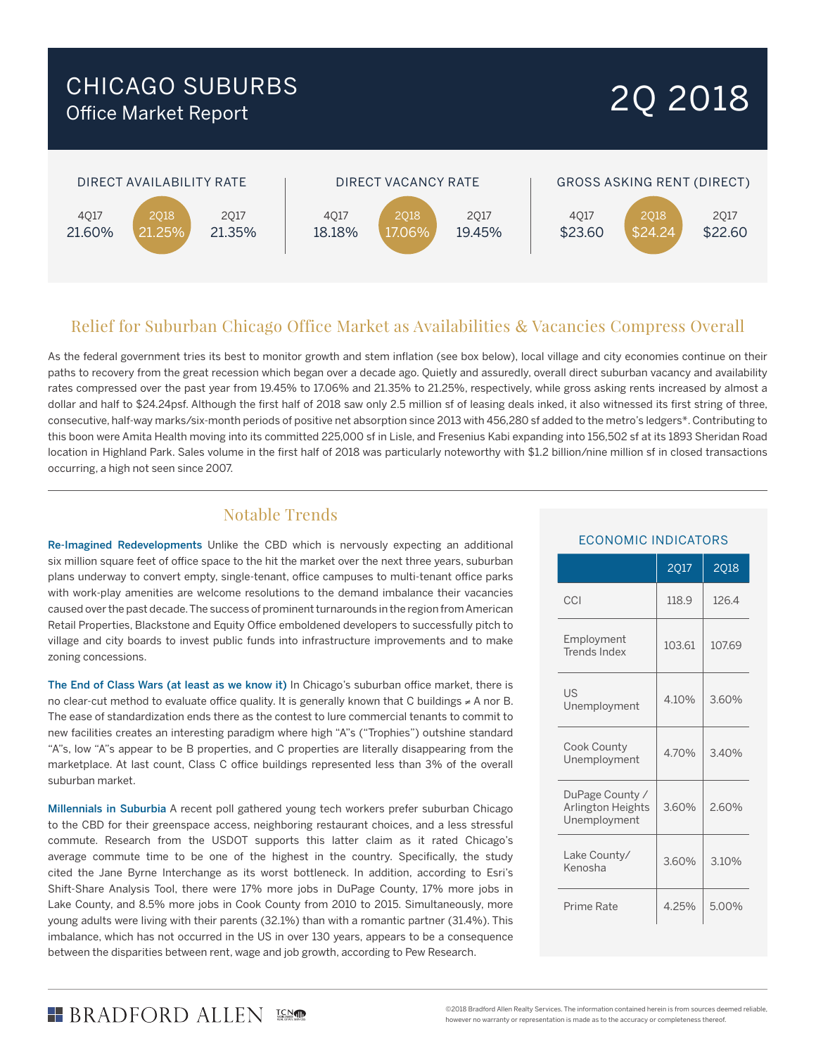### CHICAGO SUBURBS Office Market Report

# 2Q 2018



### Relief for Suburban Chicago Office Market as Availabilities & Vacancies Compress Overall

As the federal government tries its best to monitor growth and stem inflation (see box below), local village and city economies continue on their paths to recovery from the great recession which began over a decade ago. Quietly and assuredly, overall direct suburban vacancy and availability rates compressed over the past year from 19.45% to 17.06% and 21.35% to 21.25%, respectively, while gross asking rents increased by almost a dollar and half to \$24.24psf. Although the first half of 2018 saw only 2.5 million sf of leasing deals inked, it also witnessed its first string of three, consecutive, half-way marks/six-month periods of positive net absorption since 2013 with 456,280 sf added to the metro's ledgers\*. Contributing to this boon were Amita Health moving into its committed 225,000 sf in Lisle, and Fresenius Kabi expanding into 156,502 sf at its 1893 Sheridan Road location in Highland Park. Sales volume in the first half of 2018 was particularly noteworthy with \$1.2 billion/nine million sf in closed transactions occurring, a high not seen since 2007.

### Notable Trends

Re-Imagined Redevelopments Unlike the CBD which is nervously expecting an additional six million square feet of office space to the hit the market over the next three years, suburban plans underway to convert empty, single-tenant, office campuses to multi-tenant office parks with work-play amenities are welcome resolutions to the demand imbalance their vacancies caused over the past decade. The success of prominent turnarounds in the region from American Retail Properties, Blackstone and Equity Office emboldened developers to successfully pitch to village and city boards to invest public funds into infrastructure improvements and to make zoning concessions.

The End of Class Wars (at least as we know it) In Chicago's suburban office market, there is no clear-cut method to evaluate office quality. It is generally known that C buildings ≠ A nor B. The ease of standardization ends there as the contest to lure commercial tenants to commit to new facilities creates an interesting paradigm where high "A"s ("Trophies") outshine standard "A"s, low "A"s appear to be B properties, and C properties are literally disappearing from the marketplace. At last count, Class C office buildings represented less than 3% of the overall suburban market.

Millennials in Suburbia A recent poll gathered young tech workers prefer suburban Chicago to the CBD for their greenspace access, neighboring restaurant choices, and a less stressful commute. Research from the USDOT supports this latter claim as it rated Chicago's average commute time to be one of the highest in the country. Specifically, the study cited the Jane Byrne Interchange as its worst bottleneck. In addition, according to Esri's Shift-Share Analysis Tool, there were 17% more jobs in DuPage County, 17% more jobs in Lake County, and 8.5% more jobs in Cook County from 2010 to 2015. Simultaneously, more young adults were living with their parents (32.1%) than with a romantic partner (31.4%). This imbalance, which has not occurred in the US in over 130 years, appears to be a consequence between the disparities between rent, wage and job growth, according to Pew Research.

#### ECONOMIC INDICATORS

|                                                      | <b>2017</b> | <b>2018</b> |
|------------------------------------------------------|-------------|-------------|
| CCI                                                  | 118.9       | 126.4       |
| Employment<br>Trends Index                           | 103.61      | 107.69      |
| US<br>Unemployment                                   | 4.10%       | 3.60%       |
| Cook County<br>Unemployment                          | 4.70%       | 3.40%       |
| DuPage County /<br>Arlington Heights<br>Unemployment | 3.60%       | 2.60%       |
| Lake County/<br>Kenosha                              | 3.60%       | 3.10%       |
| Prime Rate                                           | 4.25%       | 5.00%       |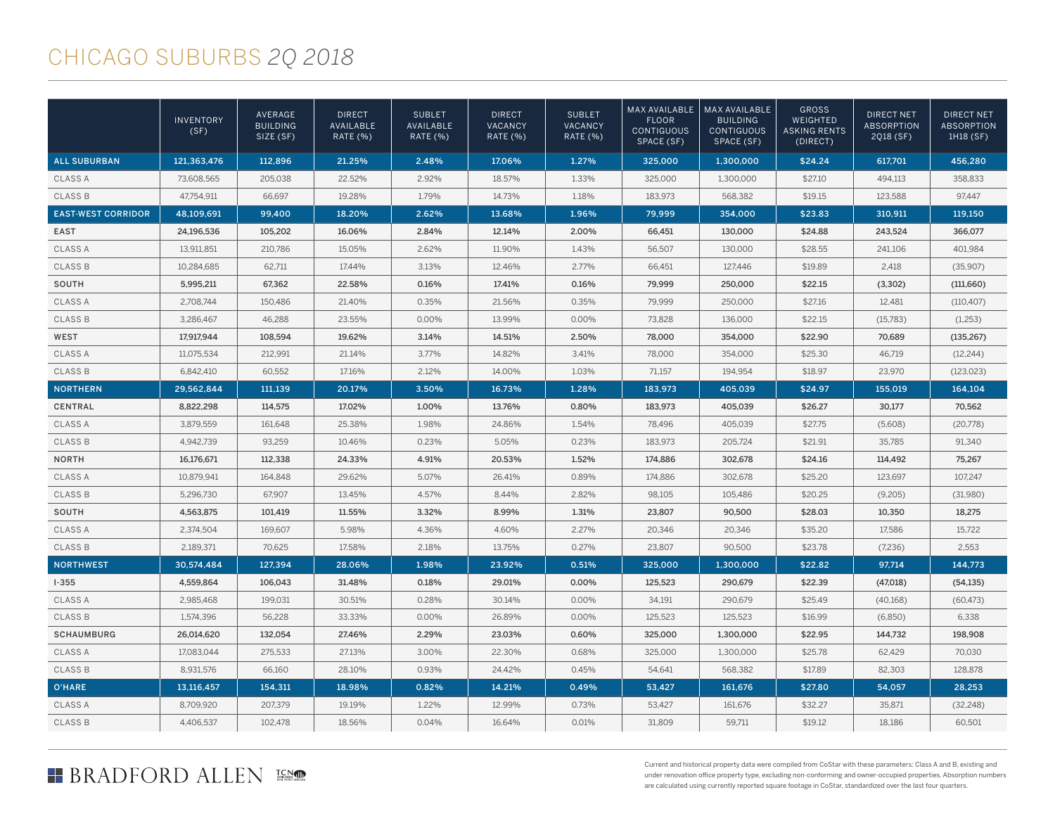## CHICAGO SUBURBS *2Q 2018*

|                           | <b>INVENTORY</b><br>(SF) | AVERAGE<br><b>BUILDING</b><br>SIZE (SF) | <b>DIRECT</b><br>AVAILABLE<br><b>RATE (%)</b> | <b>SUBLET</b><br>AVAILABLE<br>RATE (%) | <b>DIRECT</b><br><b>VACANCY</b><br>RATE (%) | <b>SUBLET</b><br>VACANCY<br>RATE (%) | <b>MAX AVAILABLE</b><br><b>FLOOR</b><br><b>CONTIGUOUS</b><br>SPACE (SF) | MAX AVAILABLE<br><b>BUILDING</b><br><b>CONTIGUOUS</b><br>SPACE (SF) | <b>GROSS</b><br>WEIGHTED<br><b>ASKING RENTS</b><br>(DIRECT) | <b>DIRECT NET</b><br><b>ABSORPTION</b><br>2018 (SF) | <b>DIRECT NET</b><br><b>ABSORPTION</b><br>1H18 (SF) |
|---------------------------|--------------------------|-----------------------------------------|-----------------------------------------------|----------------------------------------|---------------------------------------------|--------------------------------------|-------------------------------------------------------------------------|---------------------------------------------------------------------|-------------------------------------------------------------|-----------------------------------------------------|-----------------------------------------------------|
| <b>ALL SUBURBAN</b>       | 121,363,476              | 112,896                                 | 21.25%                                        | 2.48%                                  | 17.06%                                      | 1.27%                                | 325,000                                                                 | 1,300,000                                                           | \$24.24                                                     | 617,701                                             | 456,280                                             |
| <b>CLASS A</b>            | 73,608,565               | 205,038                                 | 22.52%                                        | 2.92%                                  | 18.57%                                      | 1.33%                                | 325,000                                                                 | 1,300,000                                                           | \$27.10                                                     | 494,113                                             | 358,833                                             |
| <b>CLASS B</b>            | 47,754,911               | 66,697                                  | 19.28%                                        | 1.79%                                  | 14.73%                                      | 1.18%                                | 183,973                                                                 | 568,382                                                             | \$19.15                                                     | 123,588                                             | 97,447                                              |
| <b>EAST-WEST CORRIDOR</b> | 48,109,691               | 99,400                                  | 18.20%                                        | 2.62%                                  | 13.68%                                      | 1.96%                                | 79,999                                                                  | 354,000                                                             | \$23.83                                                     | 310,911                                             | 119,150                                             |
| <b>EAST</b>               | 24,196,536               | 105,202                                 | 16.06%                                        | 2.84%                                  | 12.14%                                      | 2.00%                                | 66,451                                                                  | 130,000                                                             | \$24.88                                                     | 243,524                                             | 366.077                                             |
| <b>CLASS A</b>            | 13,911,851               | 210,786                                 | 15.05%                                        | 2.62%                                  | 11.90%                                      | 1.43%                                | 56,507                                                                  | 130,000                                                             | \$28.55                                                     | 241,106                                             | 401,984                                             |
| <b>CLASS B</b>            | 10,284,685               | 62,711                                  | 17.44%                                        | 3.13%                                  | 12.46%                                      | 2.77%                                | 66,451                                                                  | 127,446                                                             | \$19.89                                                     | 2,418                                               | (35,907)                                            |
| SOUTH                     | 5,995,211                | 67,362                                  | 22.58%                                        | 0.16%                                  | 17.41%                                      | 0.16%                                | 79,999                                                                  | 250,000                                                             | \$22.15                                                     | (3,302)                                             | (111,660)                                           |
| <b>CLASS A</b>            | 2.708.744                | 150,486                                 | 21.40%                                        | 0.35%                                  | 21.56%                                      | 0.35%                                | 79.999                                                                  | 250,000                                                             | \$27.16                                                     | 12.481                                              | (110, 407)                                          |
| <b>CLASS B</b>            | 3,286,467                | 46,288                                  | 23.55%                                        | 0.00%                                  | 13.99%                                      | 0.00%                                | 73,828                                                                  | 136,000                                                             | \$22.15                                                     | (15,783)                                            | (1,253)                                             |
| WEST                      | 17,917,944               | 108,594                                 | 19.62%                                        | 3.14%                                  | 14.51%                                      | 2.50%                                | 78,000                                                                  | 354,000                                                             | \$22.90                                                     | 70,689                                              | (135, 267)                                          |
| <b>CLASS A</b>            | 11,075,534               | 212,991                                 | 21.14%                                        | 3.77%                                  | 14.82%                                      | 3.41%                                | 78,000                                                                  | 354,000                                                             | \$25.30                                                     | 46,719                                              | (12, 244)                                           |
| <b>CLASS B</b>            | 6,842,410                | 60.552                                  | 17.16%                                        | 2.12%                                  | 14.00%                                      | 1.03%                                | 71,157                                                                  | 194.954                                                             | \$18.97                                                     | 23,970                                              | (123, 023)                                          |
| <b>NORTHERN</b>           | 29,562,844               | 111.139                                 | 20.17%                                        | 3.50%                                  | 16.73%                                      | 1.28%                                | 183,973                                                                 | 405.039                                                             | \$24.97                                                     | 155,019                                             | 164,104                                             |
| <b>CENTRAL</b>            | 8,822,298                | 114,575                                 | 17.02%                                        | 1.00%                                  | 13.76%                                      | 0.80%                                | 183,973                                                                 | 405,039                                                             | \$26.27                                                     | 30,177                                              | 70,562                                              |
| <b>CLASS A</b>            | 3,879,559                | 161,648                                 | 25.38%                                        | 1.98%                                  | 24.86%                                      | 1.54%                                | 78.496                                                                  | 405.039                                                             | \$27.75                                                     | (5,608)                                             | (20,778)                                            |
| <b>CLASS B</b>            | 4,942,739                | 93,259                                  | 10.46%                                        | 0.23%                                  | 5.05%                                       | 0.23%                                | 183,973                                                                 | 205,724                                                             | \$21.91                                                     | 35,785                                              | 91,340                                              |
| <b>NORTH</b>              | 16,176,671               | 112,338                                 | 24.33%                                        | 4.91%                                  | 20.53%                                      | 1.52%                                | 174,886                                                                 | 302,678                                                             | \$24.16                                                     | 114,492                                             | 75,267                                              |
| <b>CLASS A</b>            | 10,879,941               | 164,848                                 | 29.62%                                        | 5.07%                                  | 26.41%                                      | 0.89%                                | 174,886                                                                 | 302,678                                                             | \$25.20                                                     | 123,697                                             | 107,247                                             |
| <b>CLASS B</b>            | 5.296.730                | 67.907                                  | 13.45%                                        | 4.57%                                  | 8.44%                                       | 2.82%                                | 98.105                                                                  | 105.486                                                             | \$20.25                                                     | (9,205)                                             | (31,980)                                            |
| SOUTH                     | 4,563,875                | 101,419                                 | 11.55%                                        | 3.32%                                  | 8.99%                                       | 1.31%                                | 23,807                                                                  | 90,500                                                              | \$28.03                                                     | 10,350                                              | 18,275                                              |
| <b>CLASS A</b>            | 2,374,504                | 169,607                                 | 5.98%                                         | 4.36%                                  | 4.60%                                       | 2.27%                                | 20,346                                                                  | 20,346                                                              | \$35.20                                                     | 17,586                                              | 15,722                                              |
| <b>CLASS B</b>            | 2,189,371                | 70,625                                  | 17.58%                                        | 2.18%                                  | 13.75%                                      | 0.27%                                | 23,807                                                                  | 90,500                                                              | \$23.78                                                     | (7,236)                                             | 2,553                                               |
| <b>NORTHWEST</b>          | 30.574.484               | 127.394                                 | 28.06%                                        | 1.98%                                  | 23.92%                                      | 0.51%                                | 325,000                                                                 | 1.300.000                                                           | \$22.82                                                     | 97.714                                              | 144.773                                             |
| $1 - 355$                 | 4,559,864                | 106,043                                 | 31.48%                                        | 0.18%                                  | 29.01%                                      | 0.00%                                | 125,523                                                                 | 290,679                                                             | \$22.39                                                     | (47,018)                                            | (54, 135)                                           |
| <b>CLASS A</b>            | 2,985,468                | 199,031                                 | 30.51%                                        | 0.28%                                  | 30.14%                                      | 0.00%                                | 34,191                                                                  | 290,679                                                             | \$25.49                                                     | (40, 168)                                           | (60, 473)                                           |
| <b>CLASS B</b>            | 1,574,396                | 56.228                                  | 33.33%                                        | 0.00%                                  | 26.89%                                      | 0.00%                                | 125,523                                                                 | 125,523                                                             | \$16.99                                                     | (6,850)                                             | 6.338                                               |
| <b>SCHAUMBURG</b>         | 26,014,620               | 132,054                                 | 27.46%                                        | 2.29%                                  | 23.03%                                      | 0.60%                                | 325,000                                                                 | 1,300,000                                                           | \$22.95                                                     | 144,732                                             | 198,908                                             |
| <b>CLASS A</b>            | 17,083,044               | 275,533                                 | 27.13%                                        | 3.00%                                  | 22.30%                                      | 0.68%                                | 325,000                                                                 | 1,300,000                                                           | \$25.78                                                     | 62,429                                              | 70,030                                              |
| <b>CLASS B</b>            | 8,931,576                | 66,160                                  | 28.10%                                        | 0.93%                                  | 24.42%                                      | 0.45%                                | 54,641                                                                  | 568,382                                                             | \$17.89                                                     | 82,303                                              | 128,878                                             |
| O'HARE                    | 13,116,457               | 154,311                                 | 18.98%                                        | 0.82%                                  | 14.21%                                      | 0.49%                                | 53,427                                                                  | 161,676                                                             | \$27.80                                                     | 54.057                                              | 28,253                                              |
| <b>CLASS A</b>            | 8,709,920                | 207,379                                 | 19.19%                                        | 1.22%                                  | 12.99%                                      | 0.73%                                | 53,427                                                                  | 161,676                                                             | \$32.27                                                     | 35,871                                              | (32, 248)                                           |
| <b>CLASS B</b>            | 4,406,537                | 102,478                                 | 18.56%                                        | 0.04%                                  | 16.64%                                      | 0.01%                                | 31.809                                                                  | 59,711                                                              | \$19.12                                                     | 18,186                                              | 60.501                                              |

### **BRADFORD ALLEN**

Current and historical property data were compiled from CoStar with these parameters: Class A and B, existing and under renovation office property type, excluding non-conforming and owner-occupied properties. Absorption numbers are calculated using currently reported square footage in CoStar, standardized over the last four quarters.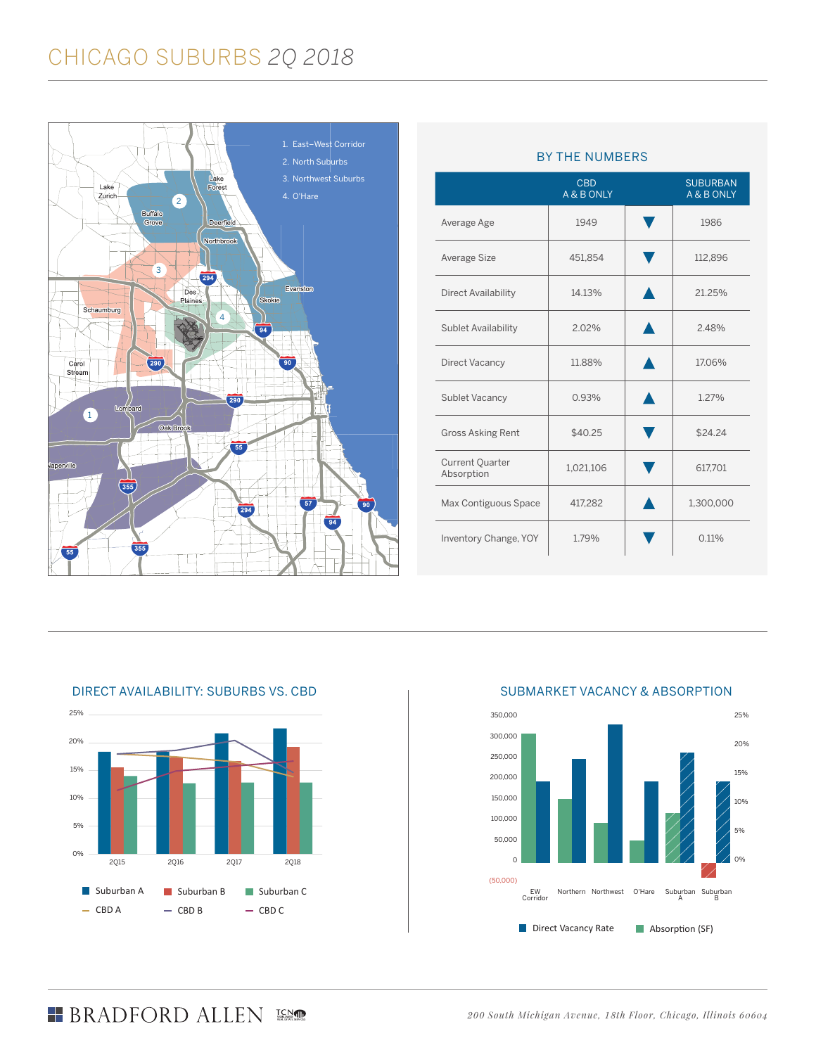# CHICAGO SUBURBS *2Q 2018*



|                                      | <b>CBD</b><br>A & B ONLY | <b>SUBURBAN</b><br>A & B ONLY |
|--------------------------------------|--------------------------|-------------------------------|
| Average Age                          | 1949                     | 1986                          |
| Average Size                         | 451,854                  | 112,896                       |
| <b>Direct Availability</b>           | 14.13%                   | 21.25%                        |
| Sublet Availability                  | 2.02%                    | 2.48%                         |
| Direct Vacancy                       | 11.88%                   | 17.06%                        |
| Sublet Vacancy                       | 0.93%                    | 1.27%                         |
| <b>Gross Asking Rent</b>             | \$40.25                  | \$24.24                       |
| <b>Current Quarter</b><br>Absorption | 1,021,106                | 617,701                       |
| Max Contiguous Space                 | 417,282                  | 1,300,000                     |
| Inventory Change, YOY                | 1.79%                    | 0.11%                         |

#### BY THE NUMBERS



#### DIRECT AVAILABILITY: SUBURBS VS. CBD

#### SUBMARKET VACANCY & ABSORPTION